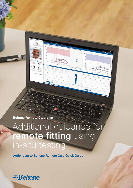Beltone Remote Care Live

# Additional guidance for remote fitting using in-situ testing

Ď

Addendum to Beltone Remote Care Quick Guide

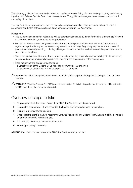The following guidance is recommended when you perform a remote fitting of a new hearing aid using in-situ testing together with Beltone Remote Care Live (Live Assistance). The guidance is designed to ensure accuracy of the fit and safety of the client.

The Live Assistance appointment should be treated exactly as a normal in-office hearing aid fitting. All normal procedures conducted at these visits should be conducted through Live Assistance.

### Please note:

- This guidance assumes that national as well as other regulations and guidance for hearing aid fitting are followed, e.g. medical evaluation, reimbursement regulation etc.
- For the US: Please ensure that you remain familiar and in compliance with federal, state and local rules and regulations applicable to your practice as they relate to remote fitting. Regulatory requirements in this area of practice are constantly evolving, including with regard to remote medical evaluations and the practice of remote care across state lines.
- This guidance is relevant for new clients, where there is no audiogram available or for existing clients, where only an outdated audiogram is available and in-situ testing is therefore used to fit the hearing aids.
- Required software to enable Live Assistance: o Latest version of the Beltone Solus Max fitting software (v. 1.6 or newer) o Latest version of the Beltone HearMax app (v. 1.7.0 or newer)

WARNING: Instructions provided in this document for choice of product range and hearing aid style must be followed.

WARNING: Tinnitus Breaker Pro (TBP) cannot be activated for initial fittings via Live Assistance. Initial activation of TBP must take place at an in-office visit.

### Overview of steps to take

- 1. Prepare your client. Important: Consent for GN Online Services must be obtained.
- 2. Prepare the hearing aids: Fit and assemble the hearing aids before delivering to your client.
- 3. Prepare your Live Assistance setup.
- 4. Check that the client is ready to receive the Live Assistance call: The Beltone HearMax app must be downloaded and connected to the hearing aids.
- 5. Conduct the Live Assistance call with the client.
- 6. Follow-up meeting in the clinic.

APPENDIX A: How to obtain consent for GN Online Services from your client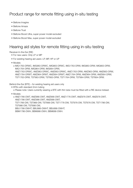# Product range for remote fitting using in-situ testing

- Beltone Imagine
- Beltone Amaze
- Beltone Trust
- Beltone Boost Ultra, super power model excluded
- Beltone Boost Max, super power model excluded

# Hearing aid styles for remote fitting using in-situ testing

Receiver-In-the-Ear (RIE)

- For new users: Only LP or MP
- For existing hearing aid users: LP, MP, HP or UP
- Models:

o IMG1763-DRWC, IMG963-DRWC, IMG663-DRWC, IMG1763-DRW, IMG963-DRW, IMG663-DRW, IMG1764-DRW, IMG964-DRW, IMG664-DRW, AMZ1763-DRWC, AMZ963-DRWC, AMZ663-DRWC, AMZ1763-DRW, AMZ963-DRW, AMZ663-DRW, AMZ1764-DRWT, AMZ964-DRWT, AMZ664-DRWT, AMZ1764-DRW, AMZ964-DRW, AMZ664-DRW, TST1763-DRW, TST963-DRW, TST663-DRW, TST1764-DRW, TST964-DRW, TST664-DRW.

Behind-the-Ear (BTE) – for existing hearing aid users only

• BTEs with standard 2mm tubing

o Please note: Users currently wearing a BTE with thin tube must be fitted with a RIE device instead.

• Models:

o AMZ1766-DWT, AMZ966-DWT, AMZ666-DWT, AMZ1776-DWT, AMZ976-DWT, AMZ676-DWT, AMZ1786-DWT, AMZ986-DWT, AMZ686-DWT, TST1766-DW, TST966-DW, TST666-DW, TST1776-DW, TST976-DW, TST676-DW, TST1786-DW, TST986-DW, TST686-DW, BBU1786-DWHT, BBU986-DWHT, BBU686-DWHT, BBM1786-DWH, BBM986-DWH, BBM686-DWH.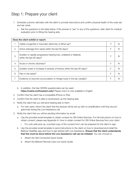# Step 1: Prepare your client

- 1. Schedule a phone call/video with the client to provide instructions and confirm physical health of the outer ear and ear canal.
	- a. Ask the questions in the table below. If the answer is "yes" to any of the questions, refer client for medical evaluation prior to fitting the hearing aids.

| Does the client exhibit or report: |                                                                                                  |   |   |
|------------------------------------|--------------------------------------------------------------------------------------------------|---|---|
|                                    | Visible congenital or traumatic deformity of either ear?                                         | Υ | N |
| 2                                  | Active drainage from ear(s) within the last 90 days?                                             | Υ | N |
| 3                                  | Sudden or rapidly progressive hearing loss, unilateral or bilateral,<br>within the last 90 days? | Υ |   |
| 4                                  | Acute or chronic dizziness?                                                                      | Υ |   |
| 5                                  | Sudden onset or increase in severity of tinnitus within the last 90 days?                        | Υ | N |
| 6                                  | Pain in the ear(s)?                                                                              | Υ | N |
| 7                                  | Evidence of cerumen accumulation or foreign body in the ear canal(s)?                            | Υ |   |

- b. In addition, the free CEDRA questionnaire can be used: https://cedra.northwestern.edu/ Please note it is only available in English.
- 2. Confirm that the client has a compatible iPhone or iPad.
- 3. Confirm that the client is able to receive/pick up the hearing aids.
- 4. Notify the client that you will send hearing aids to them.
	- a. For new users: Inform the client that the devices will be set up with no amplification until they are programmed during the Live Assistance call.
- 5. Notify the client that you will be sending information by email:
	- a. Use the provided email template to obtain consent for GN Online Services. For full instructions on how to obtain consent, please see Appendix A: How to obtain consent for GN Online Services from your client.
		- i. For curb-side pick-up, a printed copy of the consent form can be prepared for the client to sign.
	- b. Use the provided email template to send instructions to the client on how to download and install the Beltone HearMax app and how to get started with Live Assistance. Ensure that the client understands that this must be done before the Live Assistance call can be initiated. You can choose to:
		- ii. Attach the Get Connected Quick Guide.
		- iii. Attach the Beltone Remote Care Live Quick Guide.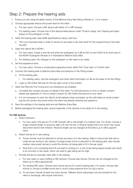# Step 2: Prepare the hearing aids

- 1. Ensure you are using the latest version of the Beltone Solus Max fitting software (v. 1.6 or newer).
- 2. Choose appropriate device and power level for the client:
	- a. For new users: Choose a RIE device with either LP or MP receiver.
	- b. For existing users: Choose one of the devices listed above under 'Product range' and 'Hearing aid styles' based on the audiogram on file.
- 3. Verify the hearing aids meet ANSI specifications using a test box.
	- a. This is an important step in order to secure an accurate in-situ test result for the programming of the hearing aids.
- 4. Open the client's file in NOAH.
	- a. For new users: Create a new file and enter the audiogram as 0 dB at 250 Hz and 4000 Hz for both ears in the NOAH Audiogram Module or in Standalone Beltone Solus Max.
	- b. For existing users: No changes to the audiogram on file need to be made.
- 5. Set the experience level:
	- a. For new users: Choose a conservative experience level, either First Time User or Comfort User.
- 6. Connect the hearing aids to Beltone Solus Max and advance to the Fitting screen.
	- a. Fit the hearing aids:
		- i. For existing users: Use the audiogram and other client information on file as the basis of the first fitting.
	- b. Login to GN Online Services (in the top right corner of the screen).
- 7. Verify that Remote Fine Tuning and Live Assistance are enabled.
	- a. Complete the consent process on behalf of the client. For full instructions on how to obtain consent, please see Appendix A: How to obtain consent for GN Online Services from your client.
	- b. It is not necessary to enter the client's email address when prompted, as this will initiate an email containing the full consent document which the client has already received and agreed to.
- 8. Save the settings in the hearing aids and exit Beltone Solus Max.
- 9. Before packaging the hearing aids, ensure assembly of the devices to be ready for in-situ testing.

### For RIE devices

- a. Attach receivers:
	- ii. For new users: Choose an LP or MP receiver with a wire length of a medium size. If in doubt, choose a longer receiver length to avoid too tight a fit over the ear. A receiver length that is too short may cause discomfort and/or skin irritation. Receiver length can be changed at the follow-up in-office appointment.
- b. Attach domes for in-situ testing:
	- iii. Power domes must be attached to ensure accuracy of in-situ testing. Select a dome size that will occlude the ear during in-situ testing. If a large power dome is attached to the hearing aids, also include medium size power domes to avoid the domes not being able to fit in the ear canal.
	- iv. Note that a non-occluding dome fit can lead to venting (i.e. in-situ tones being played louder) and result in an incorrect in-situ result, which can lead to gain being set too high.
- c. Provide domes for everyday wear after in-situ testing:
	- v. For new users or users shifting to RIE devices: Choose tulip domes. Domes can be changed at the follow-up in-office appointment.
	- vi. For existing RIE users: Choose same dome size as for current hearing aids. If in doubt, choose tulip domes or choose a smaller dome size to avoid undue pressure from too big a dome.
	- vii. For all users: Include at least four extra domes. Different dome sizes/types can be included for the client to exchange, with proper instruction.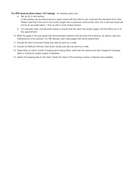### For BTE devices (2mm tubes / #13 tubing) – for existing users only

a. Set up for in-situ testing:

In-situ testing can be performed as a quick check with the client's own mold and the standard 2mm tube. Please note that if the vent in the mold is larger than a pressure vent/comfort vent, the in-situ test result will not be as accurate below 1 kHz as with a more closed solution.

- b. For everyday wear, include extra tubing to ensure that the client has ample supply until the follow-up in-office appointment.
- 10. Mark the page in the user guide that demonstrates insertion and removal of the devices, as well as care and maintenance of the devices. For RIE devices, also mark pages with dome attachment.
- 11. Include the Get Connected Guide (can also be sent by e-mail).
- 12. Include the Beltone Remote Care Quick Guide (can also be sent by e-mail).
- 13. Depending on which model of hearing aid is being fitted, verify that the devices are fully charged (if rechargeable) or include an ample supply of batteries.
- 14. Deliver the hearing aids to the client. Notify the client of the tracking number, if relevant and available.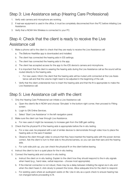# Step 3: Live Assistance setup (Hearing Care Professional)

- 1. Verify web camera and microphone are working.
- 2. If real-ear equipment is used in the office, it must be completely disconnected from the PC before initiating Live Assistance.
- 3. Verify that a NOAH link Wireless is connected to your PC.

# Step 4: Check that the client is ready to receive the Live Assistance call

- 1. Make a phone call to the client to check that they are ready to receive the Live Assistance call:
	- a. The Beltone HearMax app is downloaded and installed.
	- b. The client has connected the hearing aids in iOS settings.
	- c. The client has connected the hearing aids to the app.
	- d. The client has accepted access for the app to the iOS device's camera and microphone.
	- e. It is important that the client is wearing the hearing aids during the Live Assistance call as the sound will be routed directly to the hearing aids.
		- i. For new users: Inform the client that the hearing aids will be muted until connected at the Live Assistance call and that the volume might need to be adjusted in the beginning of the call.
	- f. Verify that the client understands how to insert the hearing aids and that the fit is appropriate to make the Live Assistance call.

## Step 5: Live Assistance call with the client

- 1. Only the Hearing Care Professional can initiate a Live Assistance call.
	- a. Open the client's file in NOAH and choose 'Simulate' in the bottom right corner, then proceed to Fitting screen.
	- b. Login to GN Online Services.
	- c. Select 'Start Live Assistance' in the left navigation panel.
- 2. Make sure the client can hear through Live Assistance.
	- a. For new users it might be necessary to increase gain from the 0dB gain setting.
- 3. Check that the physical fit of the hearing aids is appropriate before the in-situ testing.
	- a. For a new user, be prepared with a set of similar devices to demonstrate through video how to place the hearing aids on the ears if needed.
	- b. Observe the client through video to ensure that they have inserted the hearing aids with the power domes correct. Ask the client to turn to their side to the phone/camera, so you can see their ears and the hearing aids.
	- c. For curb-side pick-up, you can check the physical fit on the client before leaving.
- 4. Instruct the client to be in a quiet place for the in-situ testing.
- 5. Connect the hearing aids and conduct in-situ testing.
	- a. Instruct the client on in-situ testing: Explain to the client how they should respond to the in-situ signals when heard (e.g., hand raise, verbal response – choose most appropriate).
	- b. If the internet connection is not robust, there may be a delay between initiating the signal via in-situ and when the client hears it; click slowly to present the tones. Allow adequate time for the client to respond.
	- c. For existing users where an audiogram exists on file: Use in-situ as a quick check to ensure hearing has not changed before proceeding to fit.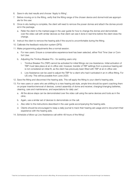- 6. Save in-situ test results and choose 'Apply to fitting'.
- 7. Before moving on to the fitting, verify that the fitting range of the chosen device and dome/mold are appropriate for the user.
- 8. Once in-situ testing is complete, the client will need to remove the power domes and attach the domes provided in the package.
	- a. Refer the client to the marked page in the user guide for how to change the domes and demonstrate over the video call with similar devices so that client can see it done in real time before the client does the change.
- 9. Instruct the client to remove the hearing aids if the sound is uncomfortable during the fitting.
- 10. Calibrate the feedback reduction system (DFS).
- 11. Make programming adjustments like a normal session.
	- a. For new users: Ensure a conservative experience level has been selected, either First Time User or Comfort User.
	- b. Adjusting the Tinnitus Breaker Pro for existing users only:
		- i. Tinnitus Breaker Pro (TBP) cannot be activated for initial fittings via Live Assistance. Initial activation of TBP must take place at an in-office visit, however, transfer of TBP settings from a previous hearing aid is not considered an initial fit, as the client has previously been fitted with TBP at an in-office visit.
		- ii. Live Assistance can be used to adjust the TBP for a client who had it activated in an in-office fitting. For US only: This will be possible from June 2020.
- 12. Save the fitting and disconnect the hearing aids. This will apply the fitting to your client's hearing aids.
- 13. For new users or users who are shifting to a new hearing aid style, ample time should be spent coaching them on proper insertion/removal of devices, correct assembly of dome and receiver, charging/changing batteries, cleaning, care and maintenance, and expectations for daily use\*.
	- a. All the above steps can be demonstrated over the video call using the same devices and tools as in the clinic.
	- b. Again, use a similar set of devices to demonstrate on the call.
	- c. Also refer to the instructions described in the user guide accompanying the hearing aids.
	- d. Clients should be encouraged to keep a daily journal to track their hearing aid usage and to document their experience with the hearing aids.
- 14. Schedule a follow-up Live Assistance call within 48 hours of the fitting\*.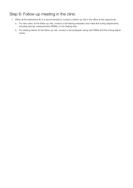# Step 6: Follow-up meeting in the clinic

- 1. When all the restrictions lift, it is recommended to conduct a follow-up visit in the office at first opportunity.
	- a. For new users: at the follow-up visit, conduct a full hearing evaluation and make fine-tuning adjustments, including real-ear measurements (REMs), to the hearing aids
	- b. For existing clients: At the follow-up visit, conduct a full audiogram along with REMs and fine-tuning adjustments.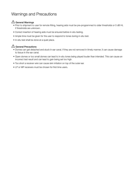# Warnings and Precautions

### $\sqrt{!}$  General Warnings

- Prior to shipment to user for remote fitting, hearing aids must be pre-programmed to older thresholds or 0 dB HL if thresholds are unknown.
- Correct insertion of hearing aids must be ensured before in-situ testing.
- Ample time must be given for the user to respond to tones during in-situ test.
- In-situ test shall be done at a quiet place.

### $\mathbb{A}$  General Precautions

- Domes can get detached and stuck in ear canal. If they are not removed in timely manner, it can cause damage to tissue in the ear canal.
- Open domes or too small domes can lead to in-situ tones being played louder than intended. This can cause an incorrect test result and can lead to gain being set too high.
- Too short a receiver wire can cause skin irritation on top of the outer ear.
- LP or MP receivers must be chosen for first time users.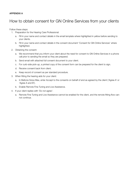### APPENDIX A

# How to obtain consent for GN Online Services from your clients

Follow these steps:

- 1. Preparation for the Hearing Care Professional:
	- a. Fill in your name and contact details in the email template where highlighted in yellow before sending to your clients.
	- b. Fill in your name and contact details in the consent document 'Consent for GN Online Services' where highlighted.
- 2. Obtaining the consent:
	- a. We recommend that you inform your client about the need for consent to GN Online Services in a phone call prior to sending the email so they are prepared.
	- b. Send email with attached full consent document to your client.
	- c. For curb-side pick-up, a printed copy of the consent form can be prepared for the client to sign.
	- d. Receive consent back from client.
	- e. Keep record of consent as per standard procedure.
- 3. When fitting the hearing aids for your client:
	- a. In Beltone Solus Max, enter Accept to the consents on behalf of and as agreed by the client ('Agree A' or 'Agree A and B').
	- b. Enable Remote Fine Tuning and Live Assistance.
- 4. If your client replies with 'Do not agree':
	- a. Remote Fine Tuning and Live Assistance cannot be enabled for the client, and the remote fitting flow cannot continue.